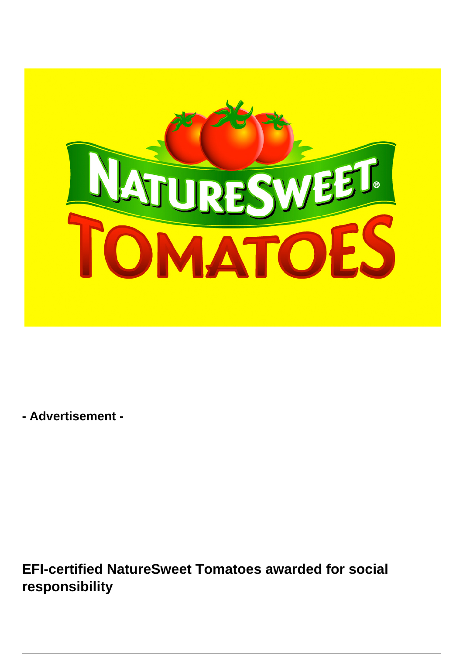

**- Advertisement -**

**EFI-certified NatureSweet Tomatoes awarded for social responsibility**